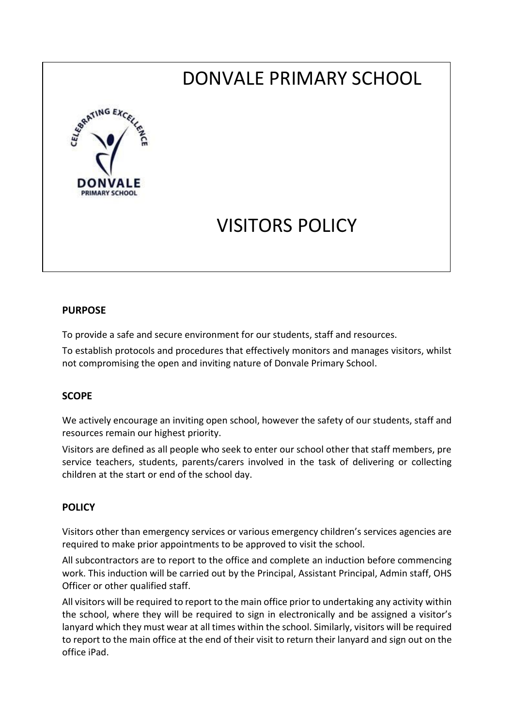# DONVALE PRIMARY SCHOOL



## VISITORS POLICY

#### **PURPOSE**

To provide a safe and secure environment for our students, staff and resources.

To establish protocols and procedures that effectively monitors and manages visitors, whilst not compromising the open and inviting nature of Donvale Primary School.

#### **SCOPE**

We actively encourage an inviting open school, however the safety of our students, staff and resources remain our highest priority.

Visitors are defined as all people who seek to enter our school other that staff members, pre service teachers, students, parents/carers involved in the task of delivering or collecting children at the start or end of the school day.

#### **POLICY**

Visitors other than emergency services or various emergency children's services agencies are required to make prior appointments to be approved to visit the school.

All subcontractors are to report to the office and complete an induction before commencing work. This induction will be carried out by the Principal, Assistant Principal, Admin staff, OHS Officer or other qualified staff.

All visitors will be required to report to the main office prior to undertaking any activity within the school, where they will be required to sign in electronically and be assigned a visitor's lanyard which they must wear at all times within the school. Similarly, visitors will be required to report to the main office at the end of their visit to return their lanyard and sign out on the office iPad.